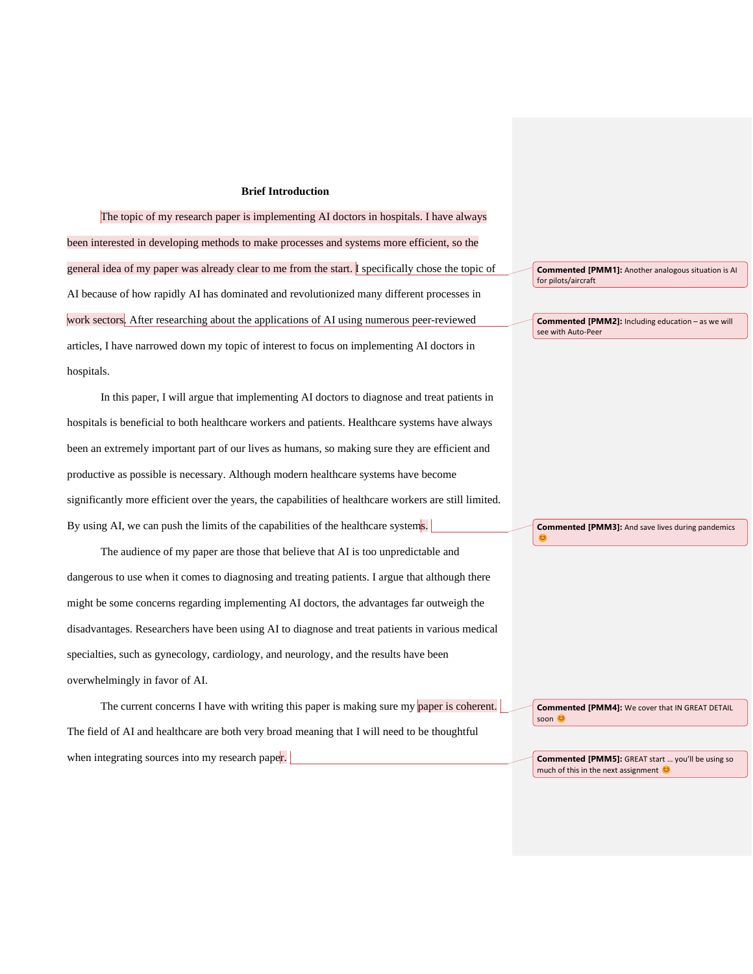## **Brief Introduction**

The topic of my research paper is implementing AI doctors in hospitals. I have always been interested in developing methods to make processes and systems more efficient, so the general idea of my paper was already clear to me from the start. I specifically chose the topic of AI because of how rapidly AI has dominated and revolutionized many different processes in work sectors. After researching about the applications of AI using numerous peer-reviewed articles, I have narrowed down my topic of interest to focus on implementing AI doctors in hospitals.

In this paper, I will argue that implementing AI doctors to diagnose and treat patients in hospitals is beneficial to both healthcare workers and patients. Healthcare systems have always been an extremely important part of our lives as humans, so making sure they are efficient and productive as possible is necessary. Although modern healthcare systems have become significantly more efficient over the years, the capabilities of healthcare workers are still limited. By using AI, we can push the limits of the capabilities of the healthcare systems.

The audience of my paper are those that believe that AI is too unpredictable and dangerous to use when it comes to diagnosing and treating patients. I argue that although there might be some concerns regarding implementing AI doctors, the advantages far outweigh the disadvantages. Researchers have been using AI to diagnose and treat patients in various medical specialties, such as gynecology, cardiology, and neurology, and the results have been overwhelmingly in favor of AI.

The current concerns I have with writing this paper is making sure my paper is coherent. The field of AI and healthcare are both very broad meaning that I will need to be thoughtful when integrating sources into my research paper.

**Commented [PMM1]:** Another analogous situation is AI for pilots/aircraft

**Commented [PMM2]:** Including education – as we will see with Auto-Peer

**Commented [PMM3]:** And save lives during pandemics

ಲ

**Commented [PMM4]:** We cover that IN GREAT DETAIL soon ©

**Commented [PMM5]:** GREAT start … you'll be using so much of this in the next assignment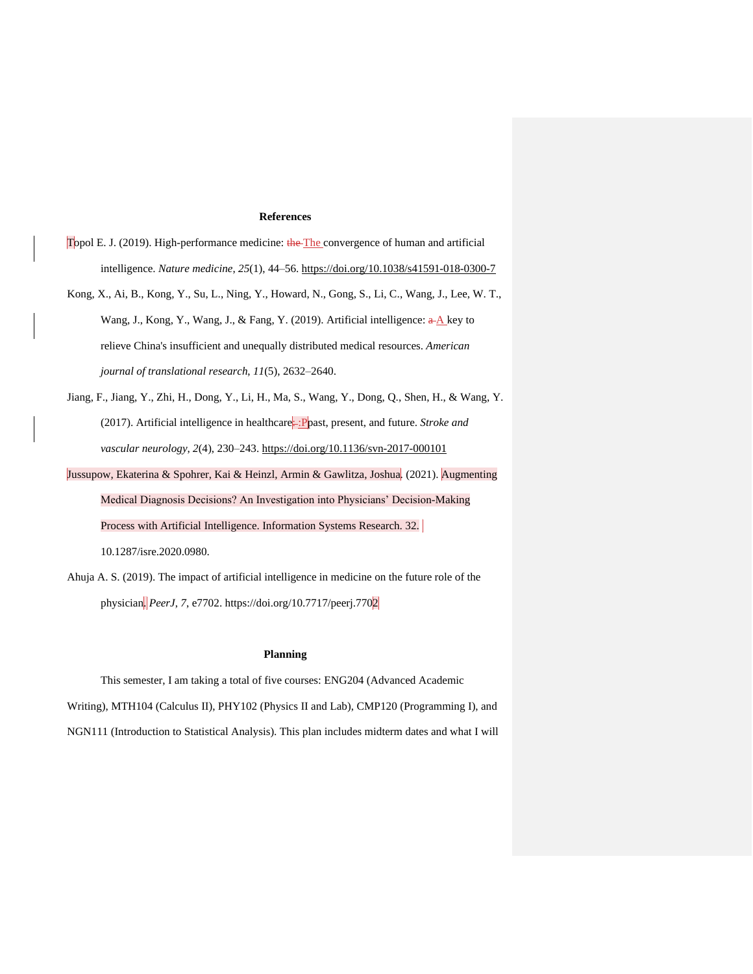## **References**

- Topol E. J. (2019). High-performance medicine: the The convergence of human and artificial intelligence. *Nature medicine*, *25*(1), 44–56.<https://doi.org/10.1038/s41591-018-0300-7>
- Kong, X., Ai, B., Kong, Y., Su, L., Ning, Y., Howard, N., Gong, S., Li, C., Wang, J., Lee, W. T., Wang, J., Kong, Y., Wang, J., & Fang, Y. (2019). Artificial intelligence:  $\frac{A}{A}$  key to relieve China's insufficient and unequally distributed medical resources. *American journal of translational research*, *11*(5), 2632–2640.
- Jiang, F., Jiang, Y., Zhi, H., Dong, Y., Li, H., Ma, S., Wang, Y., Dong, Q., Shen, H., & Wang, Y. (2017). Artificial intelligence in healthcare<sup>:</sup> : Ppast, present, and future. *Stroke and vascular neurology*, *2*(4), 230–243.<https://doi.org/10.1136/svn-2017-000101>
- Jussupow, Ekaterina & Spohrer, Kai & Heinzl, Armin & Gawlitza, Joshua. (2021). Augmenting Medical Diagnosis Decisions? An Investigation into Physicians' Decision-Making Process with Artificial Intelligence. Information Systems Research. 32. 10.1287/isre.2020.0980.
- Ahuja A. S. (2019). The impact of artificial intelligence in medicine on the future role of the physician. *PeerJ*, *7*, e7702. https://doi.org/10.7717/peerj.7702

## **Planning**

This semester, I am taking a total of five courses: ENG204 (Advanced Academic Writing), MTH104 (Calculus II), PHY102 (Physics II and Lab), CMP120 (Programming I), and NGN111 (Introduction to Statistical Analysis). This plan includes midterm dates and what I will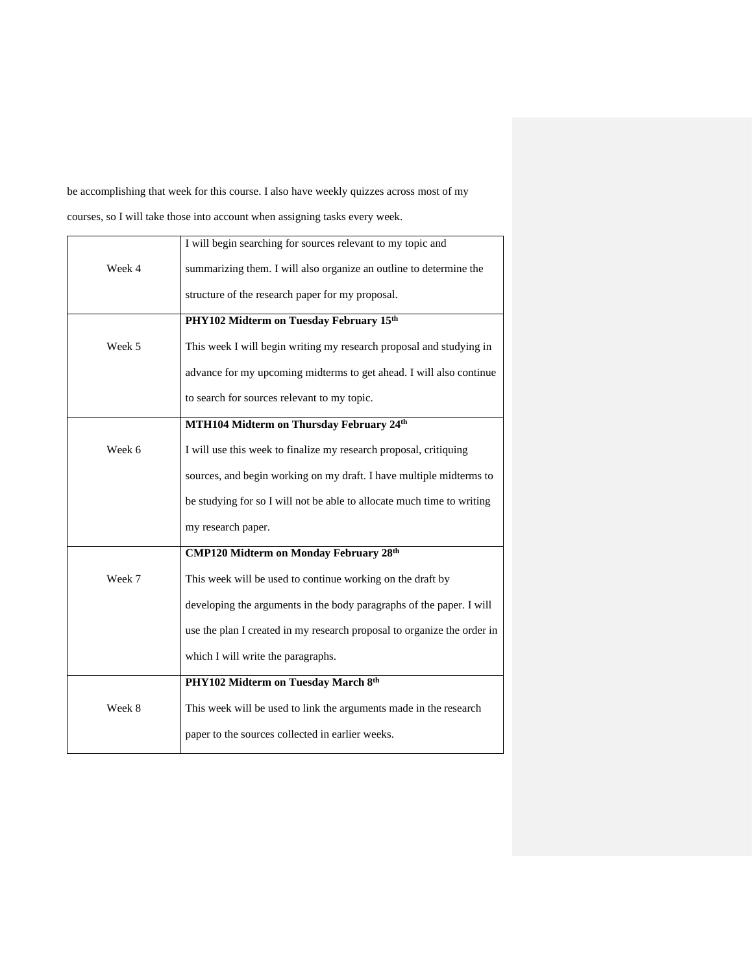be accomplishing that week for this course. I also have weekly quizzes across most of my courses, so I will take those into account when assigning tasks every week.

|        | I will begin searching for sources relevant to my topic and             |
|--------|-------------------------------------------------------------------------|
| Week 4 | summarizing them. I will also organize an outline to determine the      |
|        | structure of the research paper for my proposal.                        |
|        | PHY102 Midterm on Tuesday February 15th                                 |
| Week 5 | This week I will begin writing my research proposal and studying in     |
|        | advance for my upcoming midterms to get ahead. I will also continue     |
|        | to search for sources relevant to my topic.                             |
|        | MTH104 Midterm on Thursday February 24th                                |
| Week 6 | I will use this week to finalize my research proposal, critiquing       |
|        | sources, and begin working on my draft. I have multiple midterms to     |
|        | be studying for so I will not be able to allocate much time to writing  |
|        | my research paper.                                                      |
|        | <b>CMP120 Midterm on Monday February 28th</b>                           |
| Week 7 | This week will be used to continue working on the draft by              |
|        | developing the arguments in the body paragraphs of the paper. I will    |
|        | use the plan I created in my research proposal to organize the order in |
|        | which I will write the paragraphs.                                      |
|        | PHY102 Midterm on Tuesday March 8th                                     |
| Week 8 | This week will be used to link the arguments made in the research       |
|        | paper to the sources collected in earlier weeks.                        |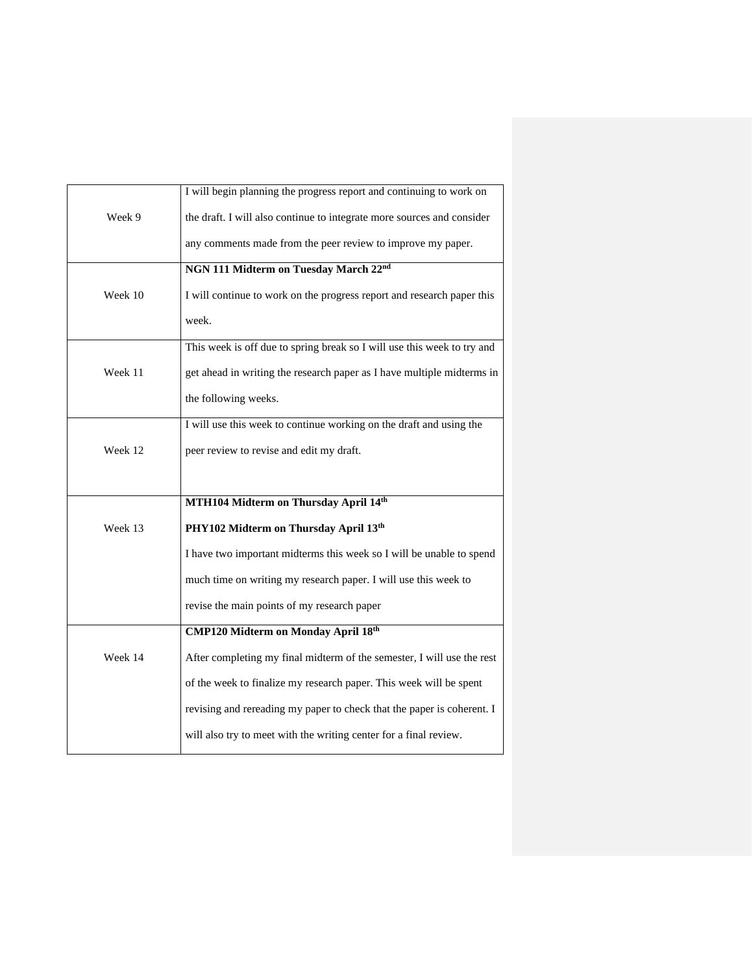|         | I will begin planning the progress report and continuing to work on     |
|---------|-------------------------------------------------------------------------|
| Week 9  | the draft. I will also continue to integrate more sources and consider  |
|         | any comments made from the peer review to improve my paper.             |
|         | NGN 111 Midterm on Tuesday March 22nd                                   |
|         |                                                                         |
| Week 10 | I will continue to work on the progress report and research paper this  |
|         | week.                                                                   |
|         | This week is off due to spring break so I will use this week to try and |
| Week 11 | get ahead in writing the research paper as I have multiple midterms in  |
|         |                                                                         |
|         | the following weeks.                                                    |
|         | I will use this week to continue working on the draft and using the     |
| Week 12 | peer review to revise and edit my draft.                                |
|         |                                                                         |
|         |                                                                         |
|         | MTH104 Midterm on Thursday April 14th                                   |
| Week 13 | PHY102 Midterm on Thursday April 13th                                   |
|         | I have two important midterms this week so I will be unable to spend    |
|         | much time on writing my research paper. I will use this week to         |
|         | revise the main points of my research paper                             |
|         | <b>CMP120 Midterm on Monday April 18th</b>                              |
|         |                                                                         |
| Week 14 | After completing my final midterm of the semester, I will use the rest  |
|         | of the week to finalize my research paper. This week will be spent      |
|         | revising and rereading my paper to check that the paper is coherent. I  |
|         | will also try to meet with the writing center for a final review.       |